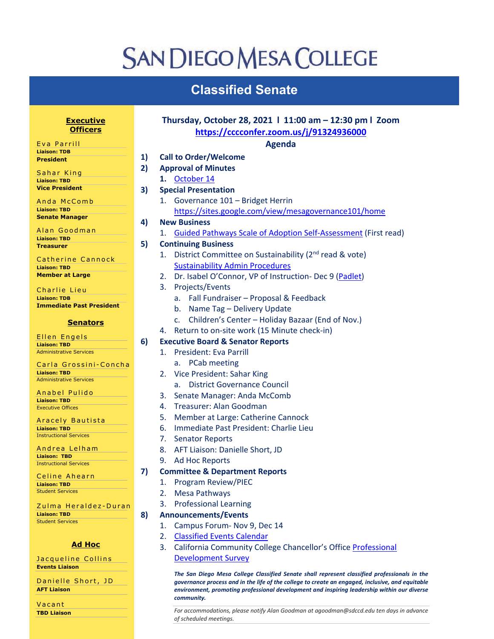## **SAN DIEGO MESA COLLEGE**

## **Classified Senate**

| <u>Executive</u>                                       | Thursday, October 28, 2021   11:00 am - 12:30 pm   Zoom |                                         |                                                                                                  |  |
|--------------------------------------------------------|---------------------------------------------------------|-----------------------------------------|--------------------------------------------------------------------------------------------------|--|
| <b>Officers</b>                                        |                                                         | https://cccconfer.zoom.us/j/91324936000 |                                                                                                  |  |
| Eva Parrill                                            |                                                         |                                         | <b>Agenda</b>                                                                                    |  |
| <b>Liaison: TDB</b>                                    | 1)                                                      |                                         | <b>Call to Order/Welcome</b>                                                                     |  |
| <b>President</b>                                       |                                                         |                                         |                                                                                                  |  |
| Sahar King                                             | 2)                                                      |                                         | <b>Approval of Minutes</b>                                                                       |  |
| <b>Liaison: TBD</b>                                    |                                                         |                                         | 1. October 14                                                                                    |  |
| <b>Vice President</b>                                  | 3)                                                      |                                         | <b>Special Presentation</b>                                                                      |  |
| Anda McComb                                            |                                                         | 1.                                      | Governance 101 - Bridget Herrin                                                                  |  |
| <b>Liaison: TBD</b>                                    |                                                         |                                         | https://sites.google.com/view/mesagovernance101/home                                             |  |
| <b>Senate Manager</b>                                  | 4)                                                      |                                         | <b>New Business</b>                                                                              |  |
| Alan Goodman                                           |                                                         | 1.                                      | <b>Guided Pathways Scale of Adoption Self-Assessment (First read)</b>                            |  |
| <b>Liaison: TBD</b><br><b>Treasurer</b>                | 5)                                                      |                                         | <b>Continuing Business</b>                                                                       |  |
|                                                        |                                                         | 1.                                      | District Committee on Sustainability (2 <sup>nd</sup> read & vote)                               |  |
| Catherine Cannock                                      |                                                         |                                         | <b>Sustainability Admin Procedures</b>                                                           |  |
| <b>Liaison: TBD</b><br><b>Member at Large</b>          |                                                         | 2.                                      | Dr. Isabel O'Connor, VP of Instruction- Dec 9 (Padlet)                                           |  |
|                                                        |                                                         |                                         |                                                                                                  |  |
| Charlie Lieu                                           |                                                         | 3.                                      | Projects/Events                                                                                  |  |
| <b>Liaison: TDB</b><br><b>Immediate Past President</b> |                                                         |                                         | Fall Fundraiser - Proposal & Feedback<br>a.                                                      |  |
|                                                        |                                                         |                                         | b. Name Tag - Delivery Update                                                                    |  |
| <b>Senators</b>                                        |                                                         |                                         | Children's Center - Holiday Bazaar (End of Nov.)<br>c.                                           |  |
|                                                        |                                                         | 4.                                      | Return to on-site work (15 Minute check-in)                                                      |  |
| Ellen Engels<br><b>Liaison: TBD</b>                    | 6)                                                      |                                         | <b>Executive Board &amp; Senator Reports</b>                                                     |  |
| <b>Administrative Services</b>                         |                                                         | 1.                                      | <b>President: Eva Parrill</b>                                                                    |  |
| Carla Grossini-Concha                                  |                                                         |                                         | a. PCab meeting                                                                                  |  |
| <b>Liaison: TBD</b>                                    |                                                         | 2.                                      | Vice President: Sahar King                                                                       |  |
| <b>Administrative Services</b>                         |                                                         |                                         | <b>District Governance Council</b><br>a.                                                         |  |
| Anabel Pulido                                          |                                                         | 3.                                      | Senate Manager: Anda McComb                                                                      |  |
| <b>Liaison: TBD</b>                                    |                                                         | 4.                                      | Treasurer: Alan Goodman                                                                          |  |
| <b>Executive Offices</b>                               |                                                         | 5.                                      | Member at Large: Catherine Cannock                                                               |  |
| Aracely Bautista                                       |                                                         |                                         |                                                                                                  |  |
| <b>Liaison: TBD</b><br><b>Instructional Services</b>   |                                                         | 6.                                      | Immediate Past President: Charlie Lieu                                                           |  |
|                                                        |                                                         | 7.                                      | <b>Senator Reports</b>                                                                           |  |
| Andrea Lelham<br><b>Liaison: TBD</b>                   |                                                         | 8.                                      | AFT Liaison: Danielle Short, JD                                                                  |  |
| <b>Instructional Services</b>                          |                                                         | 9.                                      | Ad Hoc Reports                                                                                   |  |
| Celine Ahearn                                          | 7)                                                      |                                         | <b>Committee &amp; Department Reports</b>                                                        |  |
| <b>Liaison: TBD</b>                                    |                                                         | 1.                                      | Program Review/PIEC                                                                              |  |
| <b>Student Services</b>                                |                                                         | 2.                                      | <b>Mesa Pathways</b>                                                                             |  |
| Zulma Heraldez-Duran                                   |                                                         | 3.                                      | <b>Professional Learning</b>                                                                     |  |
| <b>Liaison: TBD</b>                                    | 8)                                                      |                                         | <b>Announcements/Events</b>                                                                      |  |
| <b>Student Services</b>                                |                                                         | 1.                                      | Campus Forum-Nov 9, Dec 14                                                                       |  |
|                                                        |                                                         | 2.                                      | <b>Classified Events Calendar</b>                                                                |  |
| <b>Ad Hoc</b>                                          |                                                         |                                         |                                                                                                  |  |
|                                                        |                                                         | 3.                                      | California Community College Chancellor's Office Professional                                    |  |
| Jacqueline Collins<br><b>Events Liaison</b>            |                                                         |                                         | <b>Development Survey</b>                                                                        |  |
|                                                        |                                                         |                                         | The San Diego Mesa College Classified Senate shall represent classified professionals in the     |  |
| Danielle Short, JD                                     |                                                         |                                         | governance process and in the life of the college to create an engaged, inclusive, and equitable |  |
| <b>AFT Liaison</b>                                     |                                                         |                                         | environment, promoting professional development and inspiring leadership within our diverse      |  |

*community.*

*For accommodations, please notify Alan Goodman at agoodman@sdccd.edu ten days in advance of scheduled meetings.*

Vacant **TBD Liaison**